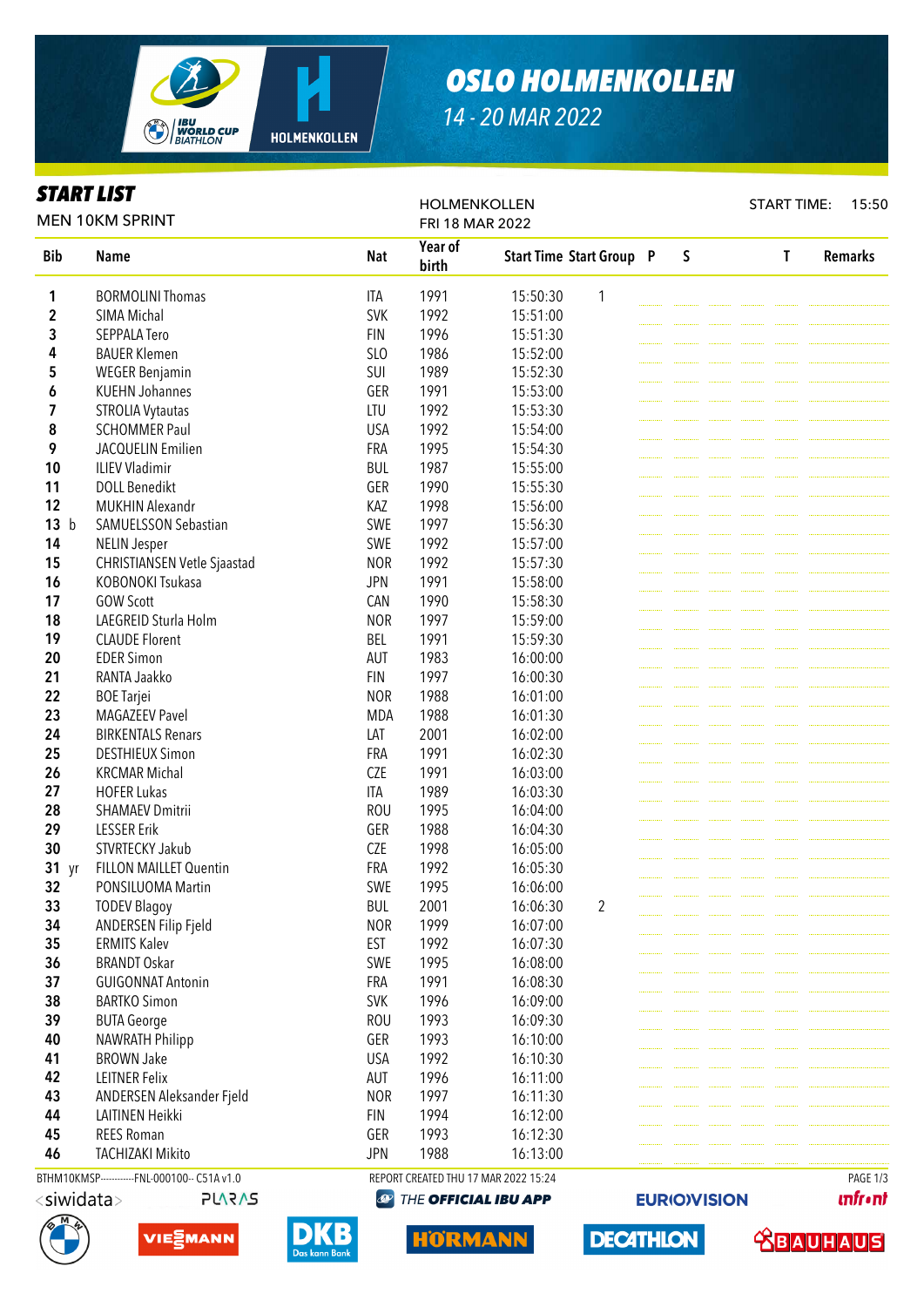

## *OSLO HOLMENKOLLEN*

*14 - 20 MAR 2022*

## *START LIST*

Bib Name National Reserves and National Reserves and National Reserves and National Reserves and National Reserves and National Reserves and National Reserves and National Reserves and National Reserves and National Reserv Year of birth Start Time Start Group P S T Remarks **1** BORMOLINI Thomas **ITA** 1991 15:50:30 1 **2** SIMA Michal SVK 1992 15:51:00 **3** SEPPALA Tero **FIN** 1996 15:51:30 4 BAUER Klemen SLO 1986 15:52:00 **5** WEGER Benjamin **SUI** 1989 15:52:30 6 KUEHN Johannes GER 1991 15:53:00 **7** STROLIA Vytautas **LTU** 1992 15:53:30 8 SCHOMMER Paul USA 1992 15:54:00 **9** JACQUELIN Emilien **FRA** 1995 15:54:30 10 ILIEV Vladimir BUL 1987 15:55:00 11 DOLL Benedikt GER 1990 15:55:30 12 MUKHIN Alexandr KAZ 1998 15:56:00 13 b SAMUELSSON Sebastian SWE 1997 15:56:30 14 NELIN Jesper SWE 1992 15:57:00 15 CHRISTIANSEN Vetle Sjaastad NOR 1992 15:57:30 16 KOBONOKI Tsukasa JPN 1991 15:58:00 17 GOW Scott CAN 1990 15:58:30 18 LAEGREID Sturla Holm NOR 1997 15:59:00 19 CLAUDE Florent BEL 1991 15:59:30 **20 EDER Simon AUT 1983 16:00:00 21** RANTA Jaakko FIN 1997 16:00:30 22 BOE Tarjei NOR 1988 16:01:00 **23** MAGAZEEV Pavel **MDA** 1988 16:01:30 24 BIRKENTALS Renars LAT 2001 16:02:00 **25 DESTHIEUX Simon FRA 1991 16:02:30 26** KRCMAR Michal **CZE** 1991 16:03:00 **27** HOFER Lukas **ITA** 1989 16:03:30 **28** SHAMAEV Dmitrii **1995** ROU 1995 16:04:00 29 LESSER Erik GER 1988 16:04:30 30 STVRTECKY Jakub CZE 1998 16:05:00 31 yr FILLON MAILLET Quentin FRA 1992 16:05:30 32 PONSILUOMA Martin SWE 1995 16:06:00 **33 TODEV Blagoy BUL 2001 16:06:30 2** 34 ANDERSEN Filip Fjeld NOR 1999 16:07:00 **35** ERMITS Kalev **EST** 1992 16:07:30 **36 BRANDT Oskar SWE 1995 16:08:00** 37 GUIGONNAT Antonin FRA 1991 16:08:30 **38 BARTKO Simon SVK 1996 16:09:00 39** BUTA George **ROU** 1993 16:09:30 **40** NAWRATH Philipp **GER** 1993 16:10:00 **41** BROWN Jake **New York CONSTRESS USA** 1992 16:10:30 **42** LEITNER Felix **AUT** 1996 16:11:00 43 ANDERSEN Aleksander Field NOR 1997 16:11:30 44 LAITINEN Heikki FIN 1994 16:12:00 45 REES Roman GER 1993 16:12:30 46 TACHIZAKI Mikito JPN 1988 16:13:00 MEN 10KM SPRINT HOLMENKOLLEN FRI 18 MAR 2022 START TIME: 15:50 BTHM10KMSP-----------FNL-000100-- C51A v1.0 REPORT CREATED THU 17 MAR 2022 15:24 PAGE 1/3

 $\bigcirc$ THE OFFICIAL IBU APP



VIE<sub>2</sub>MANN

**PLARAS** 



IORMANN

**DECATHLON** 

**EURIO)VISION** 



**unfront**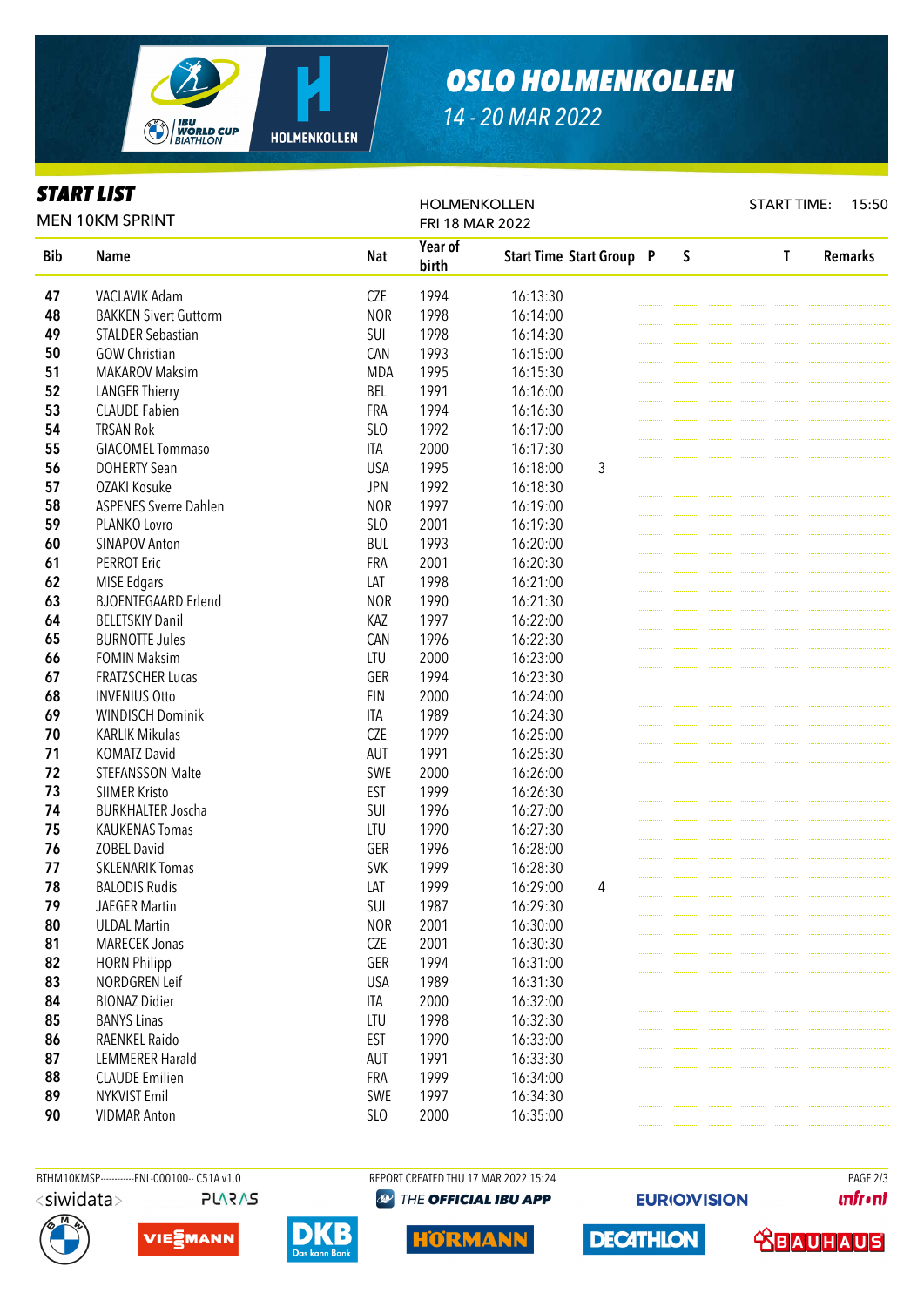

## *OSLO HOLMENKOLLEN*

*14 - 20 MAR 2022*

## *START LIST*

Bib Name National Reserves and National Reserves and National Reserves and National Reserves and National Reserves and National Reserves and National Reserves and National Reserves and National Reserves and National Reserv Year of birth Start Time Start Group P S T Remarks VACLAVIK Adam **CZE** 1994 16:13:30 BAKKEN Sivert Guttorm NOR 1998 16:14:00 STALDER Sebastian SUI 1998 16:14:30 GOW Christian CAN 1993 16:15:00 **51 MAKAROV Maksim MDA 1995 16:15:30**  LANGER Thierry BEL 1991 16:16:00 CLAUDE Fabien **FRA** 1994 16:16:30 54 TRSAN Rok SLO 1992 16:17:00 GIACOMEL Tommaso **ITA** 2000 16:17:30 DOHERTY Sean **1995** USA 1995 16:18:00 3 OZAKI Kosuke JPN 1992 16:18:30 58 ASPENES Sverre Dahlen NOR 1997 16:19:00 PLANKO Lovro SLO 2001 16:19:30 SINAPOV Anton BUL 1993 16:20:00 PERROT Eric **FRA 2001** 16:20:30 MISE Edgars **LAT** 1998 16:21:00 63 BJOENTEGAARD Erlend NOR 1990 16:21:30 BELETSKIY Danil KAZ 1997 16:22:00 BURNOTTE Jules CAN 1996 16:22:30 FOMIN Maksim LTU 2000 16:23:00 67 FRATZSCHER Lucas GER 1994 16:23:30 INVENIUS Otto **FIN** 2000 16:24:00 WINDISCH Dominik ITA 1989 16:24:30 KARLIK Mikulas CZE 1999 16:25:00 KOMATZ David **1991** AUT 1991 16:25:30 STEFANSSON Malte SWE 2000 16:26:00 SIIMER Kristo **EST** 1999 16:26:30 BURKHALTER Joscha SUI 1996 16:27:00 KAUKENAS Tomas **LTU** 1990 16:27:30 ZOBEL David GER 1996 16:28:00 SKLENARIK Tomas SVK 1999 16:28:30 BALODIS Rudis **1999 16:29:00** 4 JAEGER Martin SUI 1987 16:29:30 ULDAL Martin **NOR** 2001 16:30:00 81 MARECEK Jonas CZE 2001 16:30:30 HORN Philipp GER 1994 16:31:00 83 NORDGREN Leif USA 1989 16:31:30 BIONAZ Didier **ITA** 2000 16:32:00 BANYS Linas **Later Contract Contract Contract LTU** 1998 16:32:30 86 RAENKEL Raido **EST** 1990 16:33:00 87 LEMMERER Harald **AUT** 1991 16:33:30 88 CLAUDE Emilien **FRA** 1999 16:34:00 89 NYKVIST Emil SWE 1997 16:34:30 **90 VIDMAR Anton** SLO 2000 16:35:00 MEN 10KM SPRINT HOLMENKOLLEN FRI 18 MAR 2022 START TIME: 15:50

BTHM10KMSP------------FNL-000100-- C51A v1.0 REPORT CREATED THU 17 MAR 2022 15:24 PAGE 2/3 $\langle$ siwidata $>$ **PLARAS** 

**@ THE OFFICIAL IBU APP** 





**DECATHLON** 

**unfront**